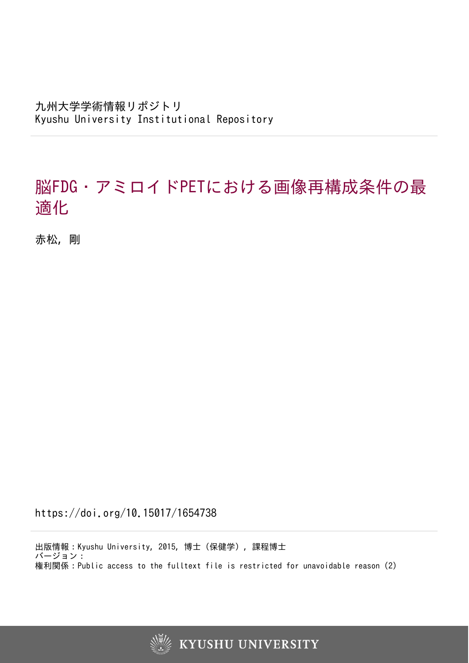九州大学学術情報リポジトリ Kyushu University Institutional Repository

# 脳FDG・アミロイドPETにおける画像再構成条件の最 適化

赤松, 剛

https://doi.org/10.15017/1654738

出版情報:Kyushu University, 2015, 博士(保健学), 課程博士 バージョン: 権利関係:Public access to the fulltext file is restricted for unavoidable reason (2)



**KYUSHU UNIVERSITY**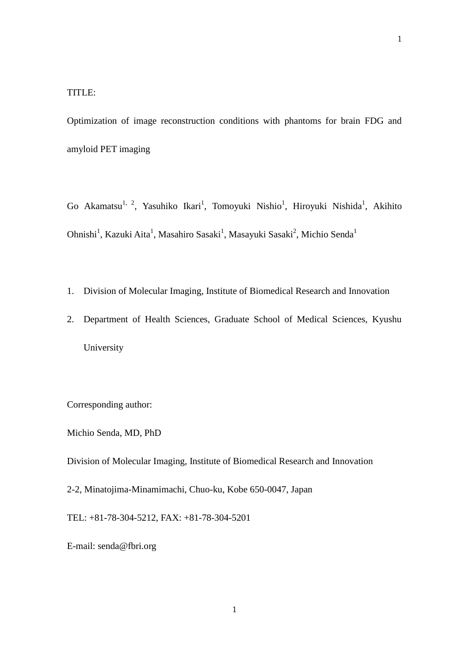Optimization of image reconstruction conditions with phantoms for brain FDG and amyloid PET imaging

Go Akamatsu<sup>1, 2</sup>, Yasuhiko Ikari<sup>1</sup>, Tomoyuki Nishio<sup>1</sup>, Hiroyuki Nishida<sup>1</sup>, Akihito Ohnishi<sup>1</sup>, Kazuki Aita<sup>1</sup>, Masahiro Sasaki<sup>1</sup>, Masayuki Sasaki<sup>2</sup>, Michio Senda<sup>1</sup>

- 1. Division of Molecular Imaging, Institute of Biomedical Research and Innovation
- 2. Department of Health Sciences, Graduate School of Medical Sciences, Kyushu University

Corresponding author:

Michio Senda, MD, PhD

Division of Molecular Imaging, Institute of Biomedical Research and Innovation

2-2, Minatojima-Minamimachi, Chuo-ku, Kobe 650-0047, Japan

TEL: +81-78-304-5212, FAX: +81-78-304-5201

E-mail: senda@fbri.org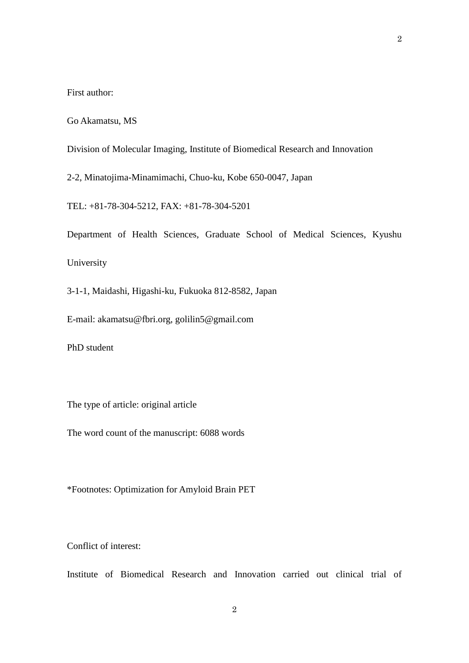First author:

Go Akamatsu, MS

Division of Molecular Imaging, Institute of Biomedical Research and Innovation

2-2, Minatojima-Minamimachi, Chuo-ku, Kobe 650-0047, Japan

TEL: +81-78-304-5212, FAX: +81-78-304-5201

Department of Health Sciences, Graduate School of Medical Sciences, Kyushu University

3-1-1, Maidashi, Higashi-ku, Fukuoka 812-8582, Japan

E-mail: akamatsu@fbri.org, golilin5@gmail.com

PhD student

The type of article: original article

The word count of the manuscript: 6088 words

\*Footnotes: Optimization for Amyloid Brain PET

Conflict of interest:

Institute of Biomedical Research and Innovation carried out clinical trial of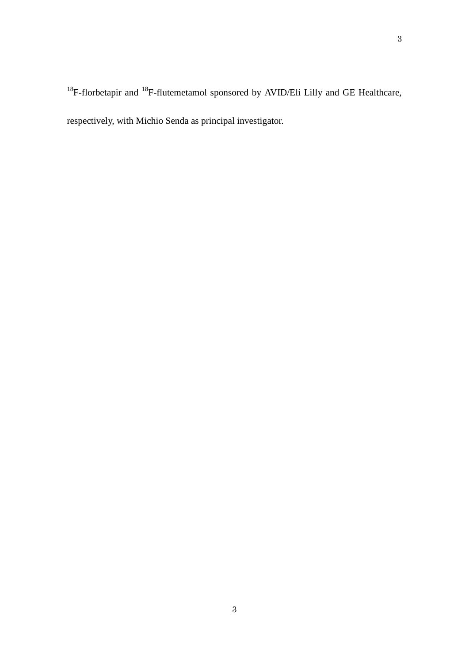respectively, with Michio Senda as principal investigator.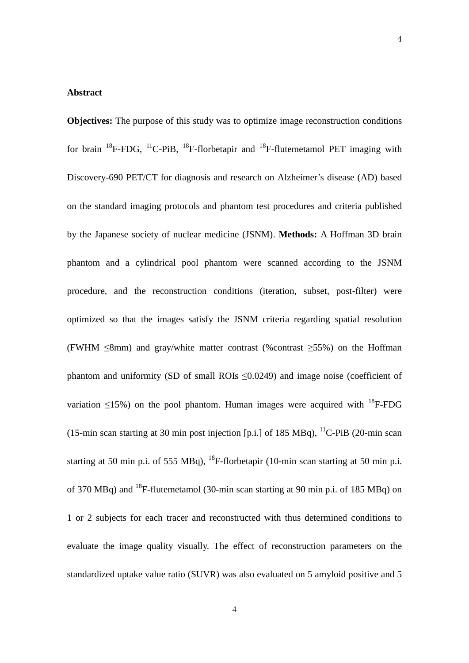## **Abstract**

**Objectives:** The purpose of this study was to optimize image reconstruction conditions for brain  $^{18}$ F-FDG,  $^{11}$ C-PiB,  $^{18}$ F-florbetapir and  $^{18}$ F-flutemetamol PET imaging with Discovery-690 PET/CT for diagnosis and research on Alzheimer's disease (AD) based on the standard imaging protocols and phantom test procedures and criteria published by the Japanese society of nuclear medicine (JSNM). **Methods:** A Hoffman 3D brain phantom and a cylindrical pool phantom were scanned according to the JSNM procedure, and the reconstruction conditions (iteration, subset, post-filter) were optimized so that the images satisfy the JSNM criteria regarding spatial resolution (FWHM  $\leq$ 8mm) and gray/white matter contrast (%contrast  $\geq$ 55%) on the Hoffman phantom and uniformity (SD of small ROIs ≤0.0249) and image noise (coefficient of variation  $\leq$ 15%) on the pool phantom. Human images were acquired with  $^{18}$ F-FDG (15-min scan starting at 30 min post injection [p.i.] of 185 MBq),  ${}^{11}$ C-PiB (20-min scan starting at 50 min p.i. of 555 MBq),  $^{18}$ F-florbetapir (10-min scan starting at 50 min p.i. of 370 MBq) and <sup>18</sup>F-flutemetamol (30-min scan starting at 90 min p.i. of 185 MBq) on 1 or 2 subjects for each tracer and reconstructed with thus determined conditions to evaluate the image quality visually. The effect of reconstruction parameters on the standardized uptake value ratio (SUVR) was also evaluated on 5 amyloid positive and 5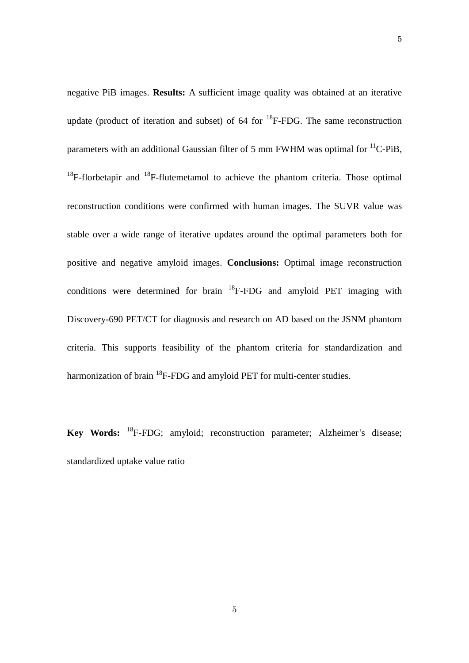negative PiB images. **Results:** A sufficient image quality was obtained at an iterative update (product of iteration and subset) of  $64$  for  $^{18}$ F-FDG. The same reconstruction parameters with an additional Gaussian filter of 5 mm FWHM was optimal for  ${}^{11}C$ -PiB,  $18F$ -florbetapir and  $18F$ -flutemetamol to achieve the phantom criteria. Those optimal reconstruction conditions were confirmed with human images. The SUVR value was stable over a wide range of iterative updates around the optimal parameters both for positive and negative amyloid images. **Conclusions:** Optimal image reconstruction conditions were determined for brain  $^{18}$ F-FDG and amyloid PET imaging with Discovery-690 PET/CT for diagnosis and research on AD based on the JSNM phantom criteria. This supports feasibility of the phantom criteria for standardization and harmonization of brain <sup>18</sup>F-FDG and amyloid PET for multi-center studies.

**Key Words:** <sup>18</sup>F-FDG; amyloid; reconstruction parameter; Alzheimer's disease; standardized uptake value ratio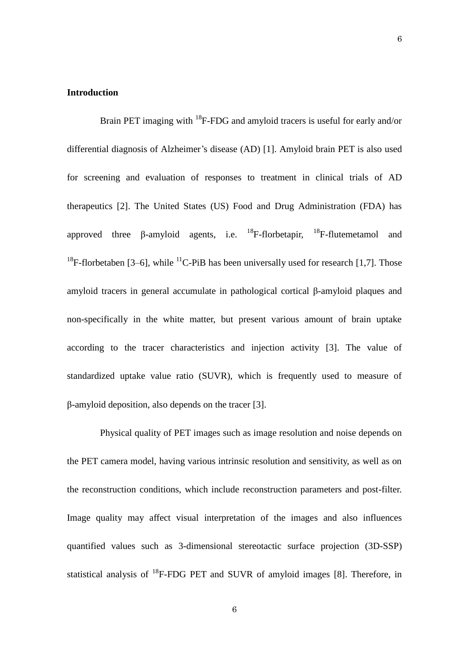# **Introduction**

Brain PET imaging with  $^{18}$ F-FDG and amyloid tracers is useful for early and/or differential diagnosis of Alzheimer's disease (AD) [1]. Amyloid brain PET is also used for screening and evaluation of responses to treatment in clinical trials of AD therapeutics [2]. The United States (US) Food and Drug Administration (FDA) has approved three  $\beta$ -amyloid agents, i.e. <sup>18</sup>F-florbetapir, <sup>18</sup>F-flutemetamol and <sup>18</sup>F-florbetaben [3–6], while <sup>11</sup>C-PiB has been universally used for research [1,7]. Those amyloid tracers in general accumulate in pathological cortical β-amyloid plaques and non-specifically in the white matter, but present various amount of brain uptake according to the tracer characteristics and injection activity [3]. The value of standardized uptake value ratio (SUVR), which is frequently used to measure of β-amyloid deposition, also depends on the tracer [3].

Physical quality of PET images such as image resolution and noise depends on the PET camera model, having various intrinsic resolution and sensitivity, as well as on the reconstruction conditions, which include reconstruction parameters and post-filter. Image quality may affect visual interpretation of the images and also influences quantified values such as 3-dimensional stereotactic surface projection (3D-SSP) statistical analysis of  ${}^{18}$ F-FDG PET and SUVR of amyloid images [8]. Therefore, in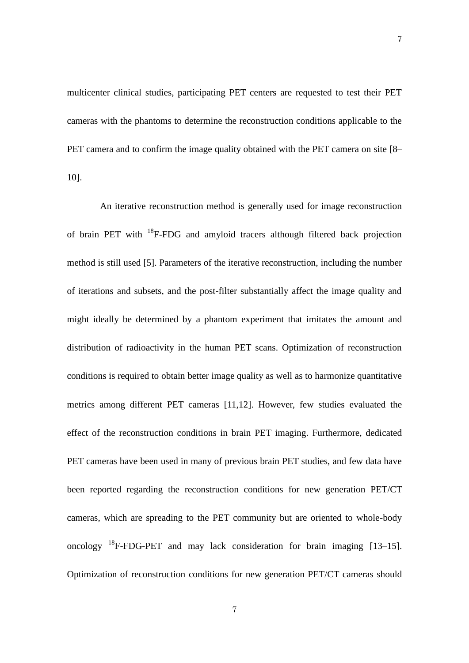multicenter clinical studies, participating PET centers are requested to test their PET cameras with the phantoms to determine the reconstruction conditions applicable to the PET camera and to confirm the image quality obtained with the PET camera on site [8– 10].

An iterative reconstruction method is generally used for image reconstruction of brain PET with  $^{18}$ F-FDG and amyloid tracers although filtered back projection method is still used [5]. Parameters of the iterative reconstruction, including the number of iterations and subsets, and the post-filter substantially affect the image quality and might ideally be determined by a phantom experiment that imitates the amount and distribution of radioactivity in the human PET scans. Optimization of reconstruction conditions is required to obtain better image quality as well as to harmonize quantitative metrics among different PET cameras [11,12]. However, few studies evaluated the effect of the reconstruction conditions in brain PET imaging. Furthermore, dedicated PET cameras have been used in many of previous brain PET studies, and few data have been reported regarding the reconstruction conditions for new generation PET/CT cameras, which are spreading to the PET community but are oriented to whole-body oncology  $^{18}$ F-FDG-PET and may lack consideration for brain imaging [13–15]. Optimization of reconstruction conditions for new generation PET/CT cameras should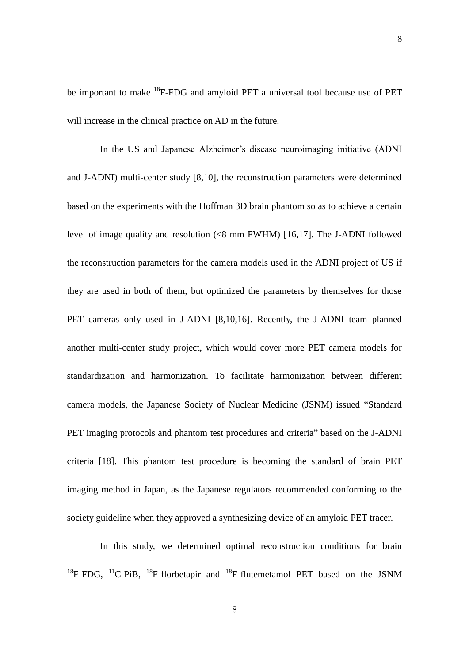be important to make <sup>18</sup>F-FDG and amyloid PET a universal tool because use of PET will increase in the clinical practice on AD in the future.

In the US and Japanese Alzheimer's disease neuroimaging initiative (ADNI and J-ADNI) multi-center study [8,10], the reconstruction parameters were determined based on the experiments with the Hoffman 3D brain phantom so as to achieve a certain level of image quality and resolution (<8 mm FWHM) [16,17]. The J-ADNI followed the reconstruction parameters for the camera models used in the ADNI project of US if they are used in both of them, but optimized the parameters by themselves for those PET cameras only used in J-ADNI [8,10,16]. Recently, the J-ADNI team planned another multi-center study project, which would cover more PET camera models for standardization and harmonization. To facilitate harmonization between different camera models, the Japanese Society of Nuclear Medicine (JSNM) issued "Standard PET imaging protocols and phantom test procedures and criteria" based on the J-ADNI criteria [18]. This phantom test procedure is becoming the standard of brain PET imaging method in Japan, as the Japanese regulators recommended conforming to the society guideline when they approved a synthesizing device of an amyloid PET tracer.

In this study, we determined optimal reconstruction conditions for brain  $^{18}$ F-FDG,  $^{11}$ C-PiB,  $^{18}$ F-florbetapir and  $^{18}$ F-flutemetamol PET based on the JSNM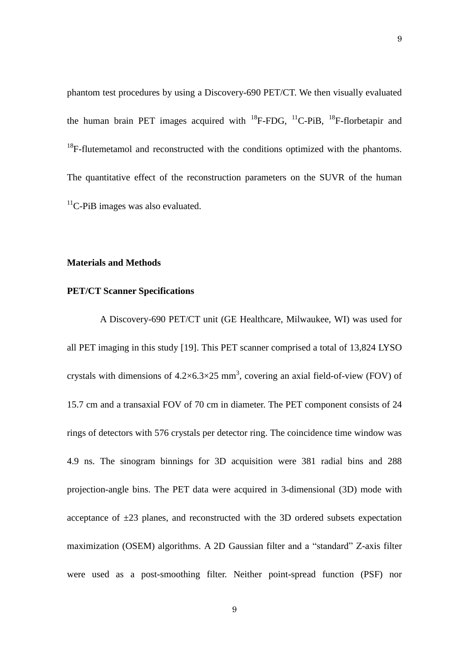phantom test procedures by using a Discovery-690 PET/CT. We then visually evaluated the human brain PET images acquired with  ${}^{18}$ F-FDG,  ${}^{11}$ C-PiB,  ${}^{18}$ F-florbetapir and  $18$ F-flutemetamol and reconstructed with the conditions optimized with the phantoms. The quantitative effect of the reconstruction parameters on the SUVR of the human  $<sup>11</sup>C-PiB$  images was also evaluated.</sup>

# **Materials and Methods**

#### **PET/CT Scanner Specifications**

A Discovery-690 PET/CT unit (GE Healthcare, Milwaukee, WI) was used for all PET imaging in this study [19]. This PET scanner comprised a total of 13,824 LYSO crystals with dimensions of  $4.2 \times 6.3 \times 25$  mm<sup>3</sup>, covering an axial field-of-view (FOV) of 15.7 cm and a transaxial FOV of 70 cm in diameter. The PET component consists of 24 rings of detectors with 576 crystals per detector ring. The coincidence time window was 4.9 ns. The sinogram binnings for 3D acquisition were 381 radial bins and 288 projection-angle bins. The PET data were acquired in 3-dimensional (3D) mode with acceptance of  $\pm 23$  planes, and reconstructed with the 3D ordered subsets expectation maximization (OSEM) algorithms. A 2D Gaussian filter and a "standard" Z-axis filter were used as a post-smoothing filter. Neither point-spread function (PSF) nor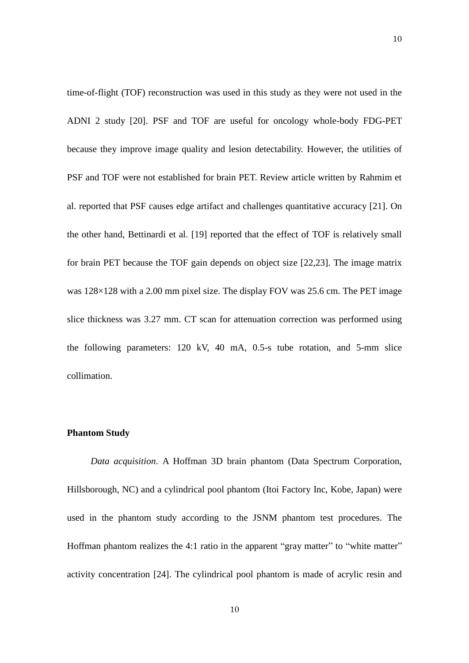time-of-flight (TOF) reconstruction was used in this study as they were not used in the ADNI 2 study [20]. PSF and TOF are useful for oncology whole-body FDG-PET because they improve image quality and lesion detectability. However, the utilities of PSF and TOF were not established for brain PET. Review article written by Rahmim et al. reported that PSF causes edge artifact and challenges quantitative accuracy [21]. On the other hand, Bettinardi et al. [19] reported that the effect of TOF is relatively small for brain PET because the TOF gain depends on object size [22,23]. The image matrix was 128×128 with a 2.00 mm pixel size. The display FOV was 25.6 cm. The PET image slice thickness was 3.27 mm. CT scan for attenuation correction was performed using the following parameters: 120 kV, 40 mA, 0.5-s tube rotation, and 5-mm slice collimation.

## **Phantom Study**

 *Data acquisition*. A Hoffman 3D brain phantom (Data Spectrum Corporation, Hillsborough, NC) and a cylindrical pool phantom (Itoi Factory Inc, Kobe, Japan) were used in the phantom study according to the JSNM phantom test procedures. The Hoffman phantom realizes the 4:1 ratio in the apparent "gray matter" to "white matter" activity concentration [24]. The cylindrical pool phantom is made of acrylic resin and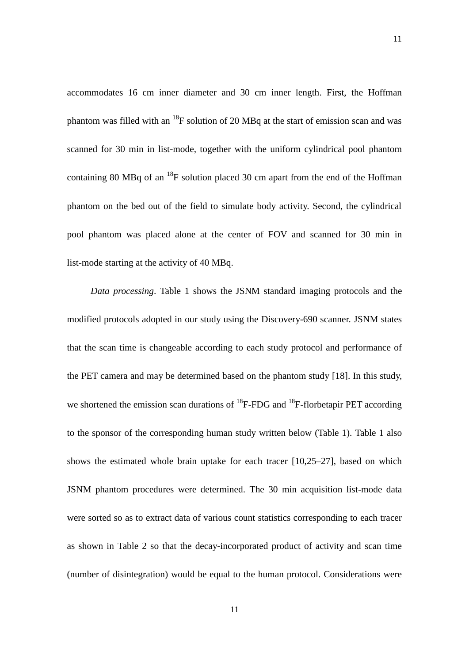accommodates 16 cm inner diameter and 30 cm inner length. First, the Hoffman phantom was filled with an  $^{18}F$  solution of 20 MBq at the start of emission scan and was scanned for 30 min in list-mode, together with the uniform cylindrical pool phantom containing 80 MBq of an  $^{18}F$  solution placed 30 cm apart from the end of the Hoffman phantom on the bed out of the field to simulate body activity. Second, the cylindrical pool phantom was placed alone at the center of FOV and scanned for 30 min in list-mode starting at the activity of 40 MBq.

 *Data processing*. Table 1 shows the JSNM standard imaging protocols and the modified protocols adopted in our study using the Discovery-690 scanner. JSNM states that the scan time is changeable according to each study protocol and performance of the PET camera and may be determined based on the phantom study [18]. In this study, we shortened the emission scan durations of  $^{18}$ F-FDG and  $^{18}$ F-florbetapir PET according to the sponsor of the corresponding human study written below (Table 1). Table 1 also shows the estimated whole brain uptake for each tracer [10,25–27], based on which JSNM phantom procedures were determined. The 30 min acquisition list-mode data were sorted so as to extract data of various count statistics corresponding to each tracer as shown in Table 2 so that the decay-incorporated product of activity and scan time (number of disintegration) would be equal to the human protocol. Considerations were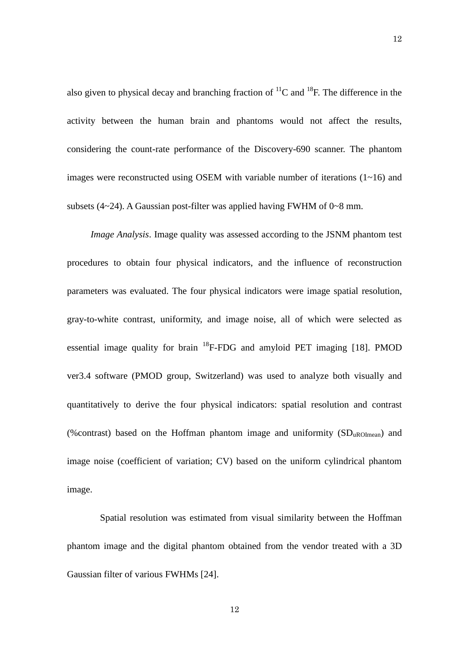also given to physical decay and branching fraction of  ${}^{11}C$  and  ${}^{18}F$ . The difference in the activity between the human brain and phantoms would not affect the results, considering the count-rate performance of the Discovery-690 scanner. The phantom images were reconstructed using OSEM with variable number of iterations  $(1\nu 16)$  and subsets  $(4~24)$ . A Gaussian post-filter was applied having FWHM of  $0~8$  mm.

 *Image Analysis*. Image quality was assessed according to the JSNM phantom test procedures to obtain four physical indicators, and the influence of reconstruction parameters was evaluated. The four physical indicators were image spatial resolution, gray-to-white contrast, uniformity, and image noise, all of which were selected as essential image quality for brain  $^{18}$ F-FDG and amyloid PET imaging [18]. PMOD ver3.4 software (PMOD group, Switzerland) was used to analyze both visually and quantitatively to derive the four physical indicators: spatial resolution and contrast (% contrast) based on the Hoffman phantom image and uniformity  $(SD<sub>uROImean</sub>)$  and image noise (coefficient of variation; CV) based on the uniform cylindrical phantom image.

Spatial resolution was estimated from visual similarity between the Hoffman phantom image and the digital phantom obtained from the vendor treated with a 3D Gaussian filter of various FWHMs [24].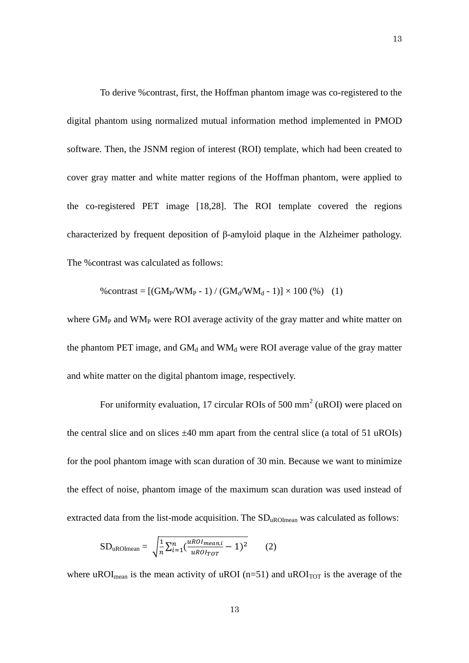To derive %contrast, first, the Hoffman phantom image was co-registered to the digital phantom using normalized mutual information method implemented in PMOD software. Then, the JSNM region of interest (ROI) template, which had been created to cover gray matter and white matter regions of the Hoffman phantom, were applied to the co-registered PET image [18,28]. The ROI template covered the regions characterized by frequent deposition of β-amyloid plaque in the Alzheimer pathology. The %contrast was calculated as follows:

%contrast = 
$$
[(GM_P/WM_P - 1) / (GM_d/WM_d - 1)] \times 100\%
$$
 (1)

where  $GM<sub>P</sub>$  and  $WM<sub>P</sub>$  were ROI average activity of the gray matter and white matter on the phantom PET image, and  $GM_d$  and  $WM_d$  were ROI average value of the gray matter and white matter on the digital phantom image, respectively.

For uniformity evaluation, 17 circular ROIs of 500 mm<sup>2</sup> (uROI) were placed on the central slice and on slices  $\pm 40$  mm apart from the central slice (a total of 51 uROIs) for the pool phantom image with scan duration of 30 min. Because we want to minimize the effect of noise, phantom image of the maximum scan duration was used instead of extracted data from the list-mode acquisition. The  $SD<sub>uROImean</sub>$  was calculated as follows:

$$
SD_{uROImean} = \sqrt{\frac{1}{n} \sum_{i=1}^{n} \left( \frac{uRoI_{mean,i}}{uRoI_{TOT}} - 1 \right)^2}
$$
 (2)

where uROI<sub>mean</sub> is the mean activity of uROI ( $n=51$ ) and uROI<sub>TOT</sub> is the average of the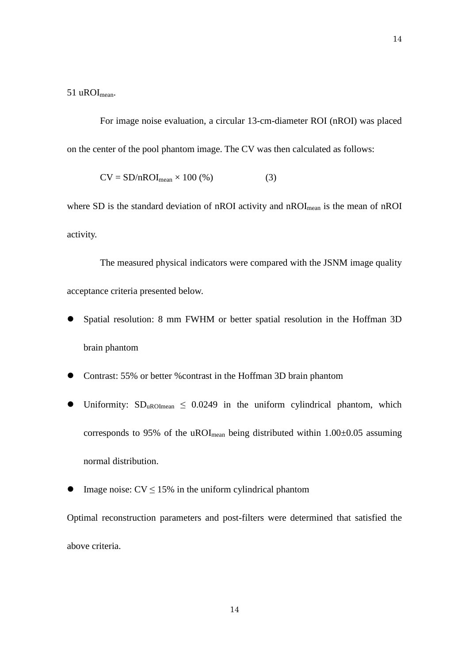51 uROImean.

For image noise evaluation, a circular 13-cm-diameter ROI (nROI) was placed on the center of the pool phantom image. The CV was then calculated as follows:

$$
CV = SD/nROI_{mean} \times 100\,(\%) \tag{3}
$$

where SD is the standard deviation of nROI activity and nROI<sub>mean</sub> is the mean of nROI activity.

The measured physical indicators were compared with the JSNM image quality acceptance criteria presented below.

- Spatial resolution: 8 mm FWHM or better spatial resolution in the Hoffman 3D brain phantom
- Contrast: 55% or better %contrast in the Hoffman 3D brain phantom
- Uniformity:  $SD_{uROImean} \leq 0.0249$  in the uniform cylindrical phantom, which corresponds to 95% of the uROI<sub>mean</sub> being distributed within  $1.00\pm0.05$  assuming normal distribution.
- Image noise:  $CV \le 15\%$  in the uniform cylindrical phantom

Optimal reconstruction parameters and post-filters were determined that satisfied the above criteria.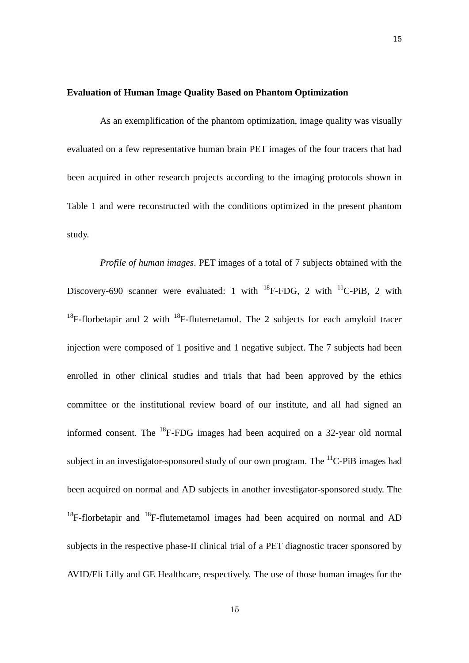# **Evaluation of Human Image Quality Based on Phantom Optimization**

As an exemplification of the phantom optimization, image quality was visually evaluated on a few representative human brain PET images of the four tracers that had been acquired in other research projects according to the imaging protocols shown in Table 1 and were reconstructed with the conditions optimized in the present phantom study.

*Profile of human images*. PET images of a total of 7 subjects obtained with the Discovery-690 scanner were evaluated: 1 with  $^{18}$ F-FDG, 2 with  $^{11}$ C-PiB, 2 with <sup>18</sup>F-florbetapir and 2 with <sup>18</sup>F-flutemetamol. The 2 subjects for each amyloid tracer injection were composed of 1 positive and 1 negative subject. The 7 subjects had been enrolled in other clinical studies and trials that had been approved by the ethics committee or the institutional review board of our institute, and all had signed an informed consent. The <sup>18</sup>F-FDG images had been acquired on a 32-year old normal subject in an investigator-sponsored study of our own program. The  ${}^{11}C$ -PiB images had been acquired on normal and AD subjects in another investigator-sponsored study. The  $18F$ -florbetapir and  $18F$ -flutemetamol images had been acquired on normal and AD subjects in the respective phase-II clinical trial of a PET diagnostic tracer sponsored by AVID/Eli Lilly and GE Healthcare, respectively. The use of those human images for the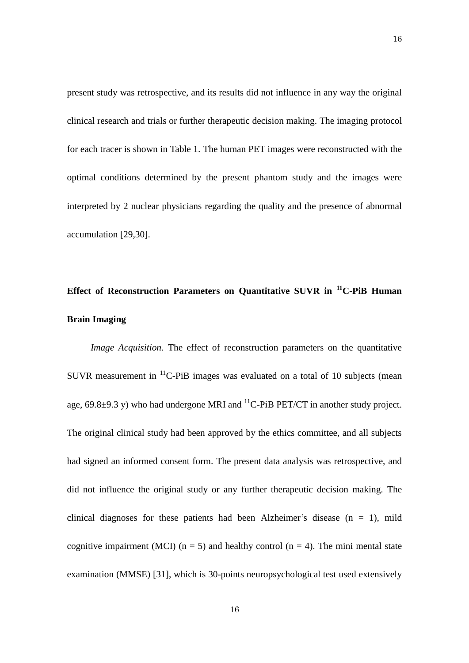present study was retrospective, and its results did not influence in any way the original clinical research and trials or further therapeutic decision making. The imaging protocol for each tracer is shown in Table 1. The human PET images were reconstructed with the optimal conditions determined by the present phantom study and the images were interpreted by 2 nuclear physicians regarding the quality and the presence of abnormal accumulation [29,30].

# **Effect of Reconstruction Parameters on Quantitative SUVR in <sup>11</sup>C-PiB Human Brain Imaging**

 *Image Acquisition*. The effect of reconstruction parameters on the quantitative SUVR measurement in  ${}^{11}$ C-PiB images was evaluated on a total of 10 subjects (mean age, 69.8 $\pm$ 9.3 y) who had undergone MRI and <sup>11</sup>C-PiB PET/CT in another study project. The original clinical study had been approved by the ethics committee, and all subjects had signed an informed consent form. The present data analysis was retrospective, and did not influence the original study or any further therapeutic decision making. The clinical diagnoses for these patients had been Alzheimer's disease  $(n = 1)$ , mild cognitive impairment (MCI) ( $n = 5$ ) and healthy control ( $n = 4$ ). The mini mental state examination (MMSE) [31], which is 30-points neuropsychological test used extensively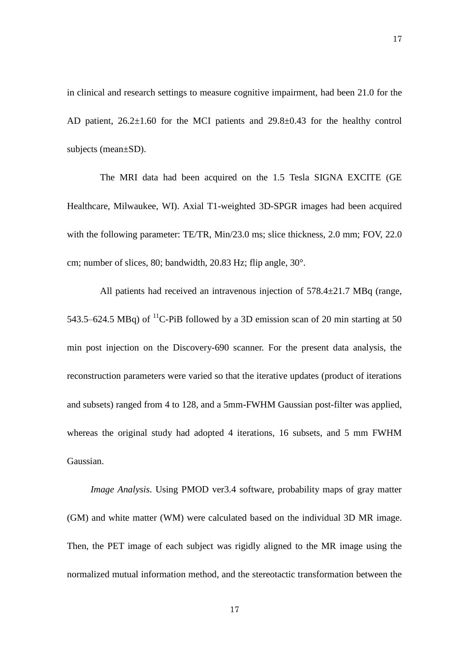in clinical and research settings to measure cognitive impairment, had been 21.0 for the AD patient,  $26.2\pm1.60$  for the MCI patients and  $29.8\pm0.43$  for the healthy control subjects (mean±SD).

The MRI data had been acquired on the 1.5 Tesla SIGNA EXCITE (GE Healthcare, Milwaukee, WI). Axial T1-weighted 3D-SPGR images had been acquired with the following parameter: TE/TR, Min/23.0 ms; slice thickness, 2.0 mm; FOV, 22.0 cm; number of slices, 80; bandwidth, 20.83 Hz; flip angle, 30°.

All patients had received an intravenous injection of 578.4±21.7 MBq (range, 543.5–624.5 MBq) of <sup>11</sup>C-PiB followed by a 3D emission scan of 20 min starting at 50 min post injection on the Discovery-690 scanner. For the present data analysis, the reconstruction parameters were varied so that the iterative updates (product of iterations and subsets) ranged from 4 to 128, and a 5mm-FWHM Gaussian post-filter was applied, whereas the original study had adopted 4 iterations, 16 subsets, and 5 mm FWHM Gaussian.

*Image Analysis*. Using PMOD ver3.4 software, probability maps of gray matter (GM) and white matter (WM) were calculated based on the individual 3D MR image. Then, the PET image of each subject was rigidly aligned to the MR image using the normalized mutual information method, and the stereotactic transformation between the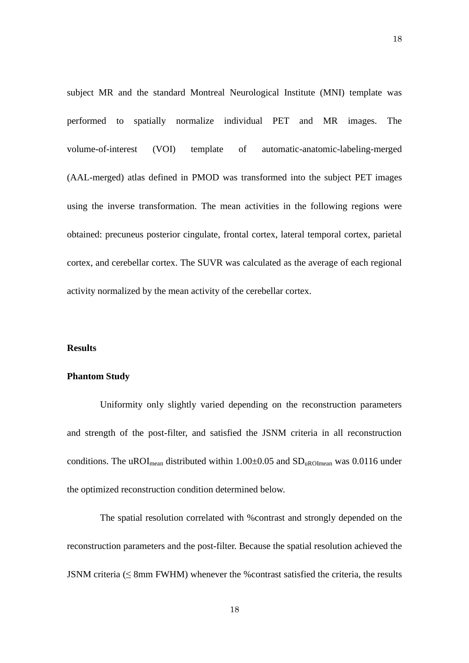subject MR and the standard Montreal Neurological Institute (MNI) template was performed to spatially normalize individual PET and MR images. The volume-of-interest (VOI) template of automatic-anatomic-labeling-merged (AAL-merged) atlas defined in PMOD was transformed into the subject PET images using the inverse transformation. The mean activities in the following regions were obtained: precuneus posterior cingulate, frontal cortex, lateral temporal cortex, parietal cortex, and cerebellar cortex. The SUVR was calculated as the average of each regional activity normalized by the mean activity of the cerebellar cortex.

# **Results**

# **Phantom Study**

Uniformity only slightly varied depending on the reconstruction parameters and strength of the post-filter, and satisfied the JSNM criteria in all reconstruction conditions. The uROI<sub>mean</sub> distributed within  $1.00\pm0.05$  and  $SD<sub>uROImean</sub>$  was 0.0116 under the optimized reconstruction condition determined below.

The spatial resolution correlated with %contrast and strongly depended on the reconstruction parameters and the post-filter. Because the spatial resolution achieved the JSNM criteria (≤ 8mm FWHM) whenever the %contrast satisfied the criteria, the results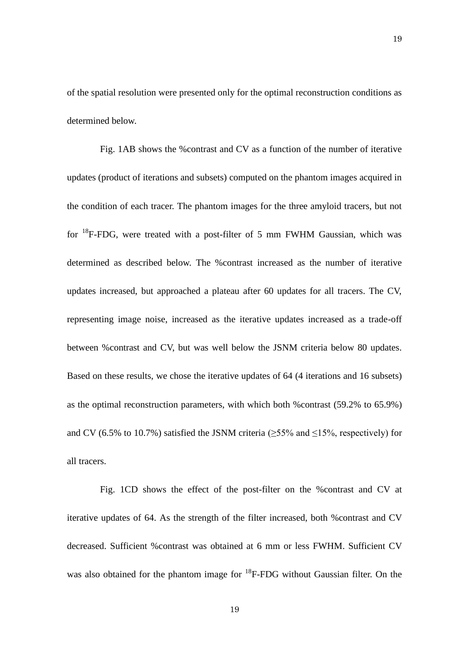of the spatial resolution were presented only for the optimal reconstruction conditions as determined below.

Fig. 1AB shows the %contrast and CV as a function of the number of iterative updates (product of iterations and subsets) computed on the phantom images acquired in the condition of each tracer. The phantom images for the three amyloid tracers, but not for <sup>18</sup>F-FDG, were treated with a post-filter of 5 mm FWHM Gaussian, which was determined as described below. The %contrast increased as the number of iterative updates increased, but approached a plateau after 60 updates for all tracers. The CV, representing image noise, increased as the iterative updates increased as a trade-off between %contrast and CV, but was well below the JSNM criteria below 80 updates. Based on these results, we chose the iterative updates of 64 (4 iterations and 16 subsets) as the optimal reconstruction parameters, with which both %contrast (59.2% to 65.9%) and CV (6.5% to 10.7%) satisfied the JSNM criteria ( $\geq$ 55% and  $\leq$ 15%, respectively) for all tracers.

Fig. 1CD shows the effect of the post-filter on the %contrast and CV at iterative updates of 64. As the strength of the filter increased, both %contrast and CV decreased. Sufficient %contrast was obtained at 6 mm or less FWHM. Sufficient CV was also obtained for the phantom image for <sup>18</sup>F-FDG without Gaussian filter. On the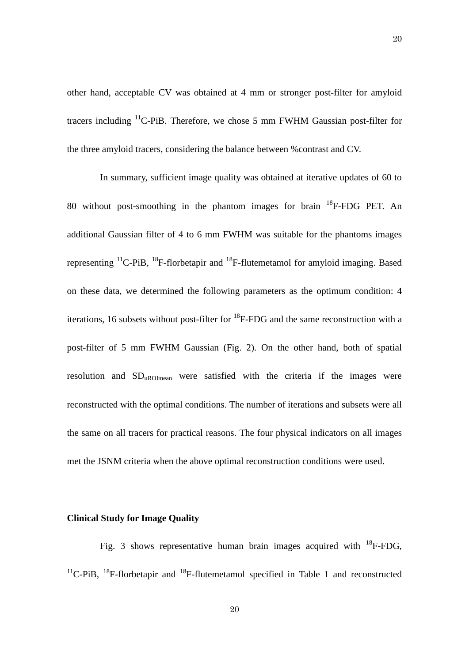other hand, acceptable CV was obtained at 4 mm or stronger post-filter for amyloid tracers including <sup>11</sup>C-PiB. Therefore, we chose 5 mm FWHM Gaussian post-filter for the three amyloid tracers, considering the balance between %contrast and CV.

In summary, sufficient image quality was obtained at iterative updates of 60 to 80 without post-smoothing in the phantom images for brain <sup>18</sup>F-FDG PET. An additional Gaussian filter of 4 to 6 mm FWHM was suitable for the phantoms images representing  $^{11}$ C-PiB,  $^{18}$ F-florbetapir and  $^{18}$ F-flutemetamol for amyloid imaging. Based on these data, we determined the following parameters as the optimum condition: 4 iterations, 16 subsets without post-filter for  ${}^{18}$ F-FDG and the same reconstruction with a post-filter of 5 mm FWHM Gaussian (Fig. 2). On the other hand, both of spatial resolution and  $SD<sub>uROImean</sub>$  were satisfied with the criteria if the images were reconstructed with the optimal conditions. The number of iterations and subsets were all the same on all tracers for practical reasons. The four physical indicators on all images met the JSNM criteria when the above optimal reconstruction conditions were used.

## **Clinical Study for Image Quality**

Fig. 3 shows representative human brain images acquired with  ${}^{18}$ F-FDG,  $11^1$ C-PiB,  $18^1$ F-florbetapir and  $18^1$ F-flutemetamol specified in Table 1 and reconstructed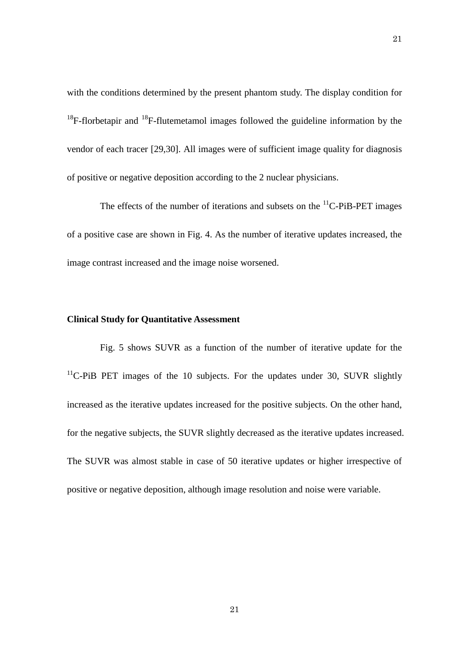with the conditions determined by the present phantom study. The display condition for  $18F$ -florbetapir and  $18F$ -flutemetamol images followed the guideline information by the vendor of each tracer [29,30]. All images were of sufficient image quality for diagnosis of positive or negative deposition according to the 2 nuclear physicians.

The effects of the number of iterations and subsets on the  ${}^{11}$ C-PiB-PET images of a positive case are shown in Fig. 4. As the number of iterative updates increased, the image contrast increased and the image noise worsened.

# **Clinical Study for Quantitative Assessment**

Fig. 5 shows SUVR as a function of the number of iterative update for the  $11$ <sup>C</sup>-PiB PET images of the 10 subjects. For the updates under 30, SUVR slightly increased as the iterative updates increased for the positive subjects. On the other hand, for the negative subjects, the SUVR slightly decreased as the iterative updates increased. The SUVR was almost stable in case of 50 iterative updates or higher irrespective of positive or negative deposition, although image resolution and noise were variable.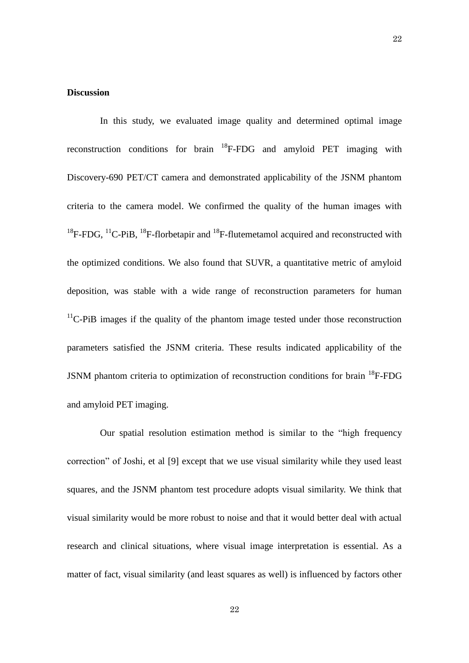# **Discussion**

In this study, we evaluated image quality and determined optimal image reconstruction conditions for brain  ${}^{18}F$ -FDG and amyloid PET imaging with Discovery-690 PET/CT camera and demonstrated applicability of the JSNM phantom criteria to the camera model. We confirmed the quality of the human images with  $18F-FDG$ ,  $11^1C-PiB$ ,  $18F-florbetapir$  and  $18F-flutemetamol$  acquired and reconstructed with the optimized conditions. We also found that SUVR, a quantitative metric of amyloid deposition, was stable with a wide range of reconstruction parameters for human  $11$ <sup>C</sup>-PiB images if the quality of the phantom image tested under those reconstruction parameters satisfied the JSNM criteria. These results indicated applicability of the JSNM phantom criteria to optimization of reconstruction conditions for brain <sup>18</sup>F-FDG and amyloid PET imaging.

Our spatial resolution estimation method is similar to the "high frequency correction" of Joshi, et al [9] except that we use visual similarity while they used least squares, and the JSNM phantom test procedure adopts visual similarity. We think that visual similarity would be more robust to noise and that it would better deal with actual research and clinical situations, where visual image interpretation is essential. As a matter of fact, visual similarity (and least squares as well) is influenced by factors other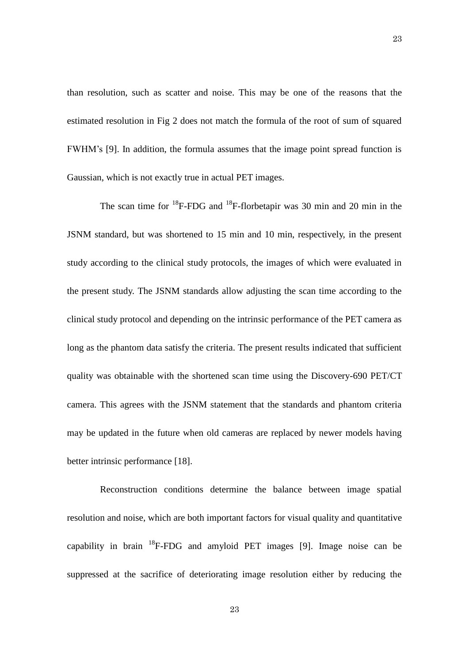than resolution, such as scatter and noise. This may be one of the reasons that the estimated resolution in Fig 2 does not match the formula of the root of sum of squared FWHM's [9]. In addition, the formula assumes that the image point spread function is Gaussian, which is not exactly true in actual PET images.

The scan time for  $^{18}F$ -FDG and  $^{18}F$ -florbetapir was 30 min and 20 min in the JSNM standard, but was shortened to 15 min and 10 min, respectively, in the present study according to the clinical study protocols, the images of which were evaluated in the present study. The JSNM standards allow adjusting the scan time according to the clinical study protocol and depending on the intrinsic performance of the PET camera as long as the phantom data satisfy the criteria. The present results indicated that sufficient quality was obtainable with the shortened scan time using the Discovery-690 PET/CT camera. This agrees with the JSNM statement that the standards and phantom criteria may be updated in the future when old cameras are replaced by newer models having better intrinsic performance [18].

Reconstruction conditions determine the balance between image spatial resolution and noise, which are both important factors for visual quality and quantitative capability in brain  $^{18}$ F-FDG and amyloid PET images [9]. Image noise can be suppressed at the sacrifice of deteriorating image resolution either by reducing the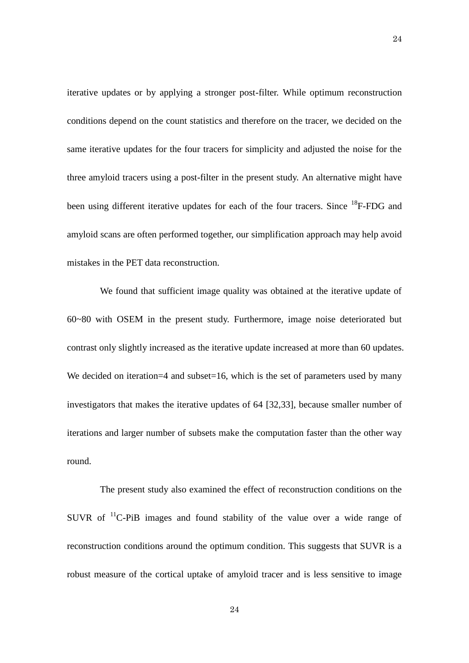iterative updates or by applying a stronger post-filter. While optimum reconstruction conditions depend on the count statistics and therefore on the tracer, we decided on the same iterative updates for the four tracers for simplicity and adjusted the noise for the three amyloid tracers using a post-filter in the present study. An alternative might have been using different iterative updates for each of the four tracers. Since <sup>18</sup>F-FDG and amyloid scans are often performed together, our simplification approach may help avoid mistakes in the PET data reconstruction.

We found that sufficient image quality was obtained at the iterative update of 60~80 with OSEM in the present study. Furthermore, image noise deteriorated but contrast only slightly increased as the iterative update increased at more than 60 updates. We decided on iteration=4 and subset=16, which is the set of parameters used by many investigators that makes the iterative updates of 64 [32,33], because smaller number of iterations and larger number of subsets make the computation faster than the other way round.

The present study also examined the effect of reconstruction conditions on the SUVR of <sup>11</sup>C-PiB images and found stability of the value over a wide range of reconstruction conditions around the optimum condition. This suggests that SUVR is a robust measure of the cortical uptake of amyloid tracer and is less sensitive to image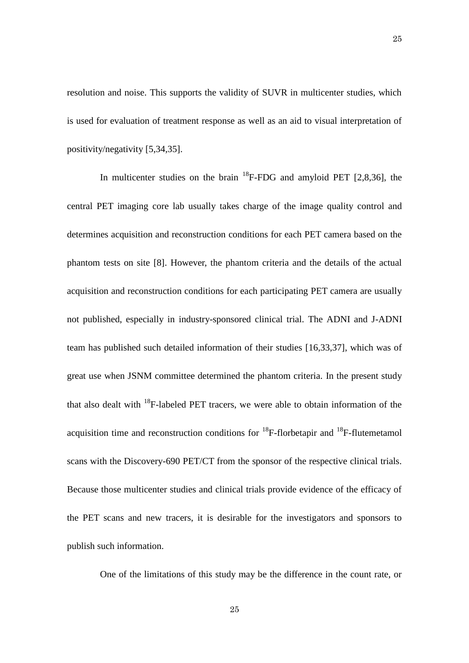resolution and noise. This supports the validity of SUVR in multicenter studies, which is used for evaluation of treatment response as well as an aid to visual interpretation of positivity/negativity [5,34,35].

In multicenter studies on the brain  $^{18}$ F-FDG and amyloid PET [2,8,36], the central PET imaging core lab usually takes charge of the image quality control and determines acquisition and reconstruction conditions for each PET camera based on the phantom tests on site [8]. However, the phantom criteria and the details of the actual acquisition and reconstruction conditions for each participating PET camera are usually not published, especially in industry-sponsored clinical trial. The ADNI and J-ADNI team has published such detailed information of their studies [16,33,37], which was of great use when JSNM committee determined the phantom criteria. In the present study that also dealt with  $^{18}$ F-labeled PET tracers, we were able to obtain information of the acquisition time and reconstruction conditions for  $^{18}$ F-florbetapir and  $^{18}$ F-flutemetamol scans with the Discovery-690 PET/CT from the sponsor of the respective clinical trials. Because those multicenter studies and clinical trials provide evidence of the efficacy of the PET scans and new tracers, it is desirable for the investigators and sponsors to publish such information.

One of the limitations of this study may be the difference in the count rate, or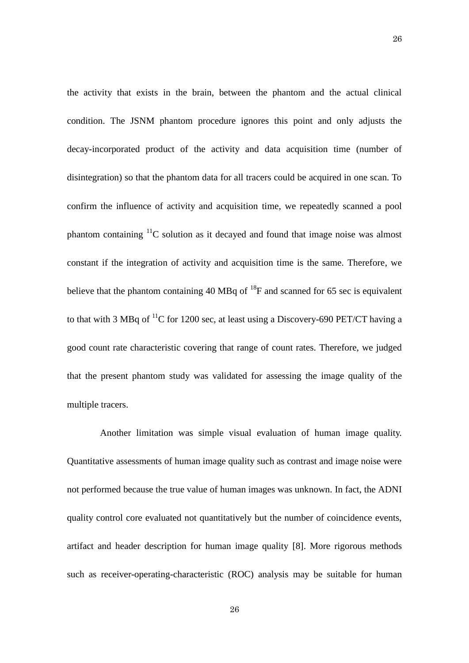the activity that exists in the brain, between the phantom and the actual clinical condition. The JSNM phantom procedure ignores this point and only adjusts the decay-incorporated product of the activity and data acquisition time (number of disintegration) so that the phantom data for all tracers could be acquired in one scan. To confirm the influence of activity and acquisition time, we repeatedly scanned a pool phantom containing <sup>11</sup>C solution as it decayed and found that image noise was almost constant if the integration of activity and acquisition time is the same. Therefore, we believe that the phantom containing 40 MBq of  $^{18}F$  and scanned for 65 sec is equivalent to that with 3 MBq of <sup>11</sup>C for 1200 sec, at least using a Discovery-690 PET/CT having a good count rate characteristic covering that range of count rates. Therefore, we judged that the present phantom study was validated for assessing the image quality of the multiple tracers.

Another limitation was simple visual evaluation of human image quality. Quantitative assessments of human image quality such as contrast and image noise were not performed because the true value of human images was unknown. In fact, the ADNI quality control core evaluated not quantitatively but the number of coincidence events, artifact and header description for human image quality [8]. More rigorous methods such as receiver-operating-characteristic (ROC) analysis may be suitable for human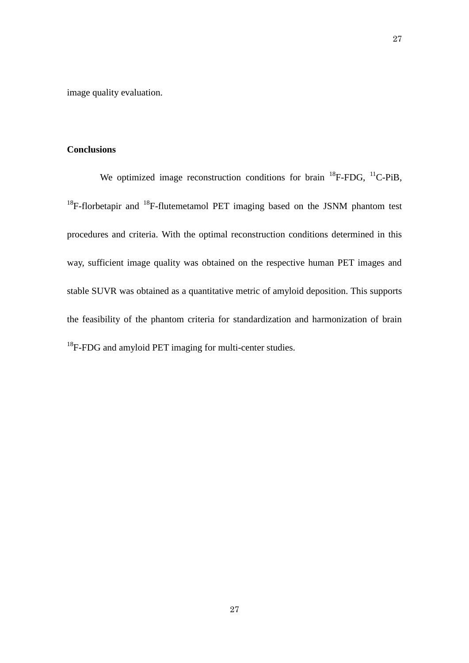image quality evaluation.

# **Conclusions**

We optimized image reconstruction conditions for brain  $^{18}$ F-FDG,  $^{11}$ C-PiB,  $18F$ -florbetapir and  $18F$ -flutemetamol PET imaging based on the JSNM phantom test procedures and criteria. With the optimal reconstruction conditions determined in this way, sufficient image quality was obtained on the respective human PET images and stable SUVR was obtained as a quantitative metric of amyloid deposition. This supports the feasibility of the phantom criteria for standardization and harmonization of brain <sup>18</sup>F-FDG and amyloid PET imaging for multi-center studies.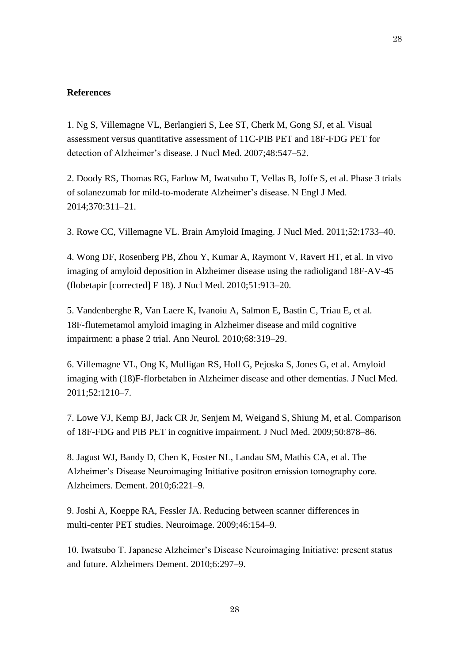## **References**

1. Ng S, Villemagne VL, Berlangieri S, Lee ST, Cherk M, Gong SJ, et al. Visual assessment versus quantitative assessment of 11C-PIB PET and 18F-FDG PET for detection of Alzheimer's disease. J Nucl Med. 2007;48:547–52.

2. Doody RS, Thomas RG, Farlow M, Iwatsubo T, Vellas B, Joffe S, et al. Phase 3 trials of solanezumab for mild-to-moderate Alzheimer's disease. N Engl J Med. 2014;370:311–21.

3. Rowe CC, Villemagne VL. Brain Amyloid Imaging. J Nucl Med. 2011;52:1733–40.

4. Wong DF, Rosenberg PB, Zhou Y, Kumar A, Raymont V, Ravert HT, et al. In vivo imaging of amyloid deposition in Alzheimer disease using the radioligand 18F-AV-45 (flobetapir [corrected] F 18). J Nucl Med. 2010;51:913–20.

5. Vandenberghe R, Van Laere K, Ivanoiu A, Salmon E, Bastin C, Triau E, et al. 18F-flutemetamol amyloid imaging in Alzheimer disease and mild cognitive impairment: a phase 2 trial. Ann Neurol. 2010;68:319–29.

6. Villemagne VL, Ong K, Mulligan RS, Holl G, Pejoska S, Jones G, et al. Amyloid imaging with (18)F-florbetaben in Alzheimer disease and other dementias. J Nucl Med. 2011;52:1210–7.

7. Lowe VJ, Kemp BJ, Jack CR Jr, Senjem M, Weigand S, Shiung M, et al. Comparison of 18F-FDG and PiB PET in cognitive impairment. J Nucl Med. 2009;50:878–86.

8. Jagust WJ, Bandy D, Chen K, Foster NL, Landau SM, Mathis CA, et al. The Alzheimer's Disease Neuroimaging Initiative positron emission tomography core. Alzheimers. Dement. 2010;6:221–9.

9. Joshi A, Koeppe RA, Fessler JA. Reducing between scanner differences in multi-center PET studies. Neuroimage. 2009;46:154–9.

10. Iwatsubo T. Japanese Alzheimer's Disease Neuroimaging Initiative: present status and future. Alzheimers Dement. 2010;6:297–9.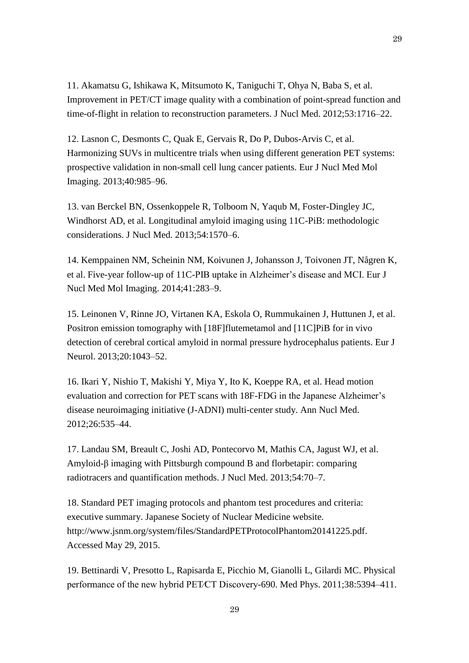11. Akamatsu G, Ishikawa K, Mitsumoto K, Taniguchi T, Ohya N, Baba S, et al. Improvement in PET/CT image quality with a combination of point-spread function and time-of-flight in relation to reconstruction parameters. J Nucl Med. 2012;53:1716–22.

12. Lasnon C, Desmonts C, Quak E, Gervais R, Do P, Dubos-Arvis C, et al. Harmonizing SUVs in multicentre trials when using different generation PET systems: prospective validation in non-small cell lung cancer patients. Eur J Nucl Med Mol Imaging. 2013;40:985–96.

13. van Berckel BN, Ossenkoppele R, Tolboom N, Yaqub M, Foster-Dingley JC, Windhorst AD, et al. Longitudinal amyloid imaging using 11C-PiB: methodologic considerations. J Nucl Med. 2013;54:1570–6.

14. Kemppainen NM, Scheinin NM, Koivunen J, Johansson J, Toivonen JT, Någren K, et al. Five-year follow-up of 11C-PIB uptake in Alzheimer's disease and MCI. Eur J Nucl Med Mol Imaging. 2014;41:283–9.

15. Leinonen V, Rinne JO, Virtanen KA, Eskola O, Rummukainen J, Huttunen J, et al. Positron emission tomography with [18F]flutemetamol and [11C]PiB for in vivo detection of cerebral cortical amyloid in normal pressure hydrocephalus patients. Eur J Neurol. 2013;20:1043–52.

16. Ikari Y, Nishio T, Makishi Y, Miya Y, Ito K, Koeppe RA, et al. Head motion evaluation and correction for PET scans with 18F-FDG in the Japanese Alzheimer's disease neuroimaging initiative (J-ADNI) multi-center study. Ann Nucl Med. 2012;26:535–44.

17. Landau SM, Breault C, Joshi AD, Pontecorvo M, Mathis CA, Jagust WJ, et al. Amyloid-β imaging with Pittsburgh compound B and florbetapir: comparing radiotracers and quantification methods. J Nucl Med. 2013;54:70–7.

18. Standard PET imaging protocols and phantom test procedures and criteria: executive summary. Japanese Society of Nuclear Medicine website. http://www.jsnm.org/system/files/StandardPETProtocolPhantom20141225.pdf. Accessed May 29, 2015.

19. Bettinardi V, Presotto L, Rapisarda E, Picchio M, Gianolli L, Gilardi MC. Physical performance of the new hybrid PET∕CT Discovery-690. Med Phys. 2011;38:5394–411.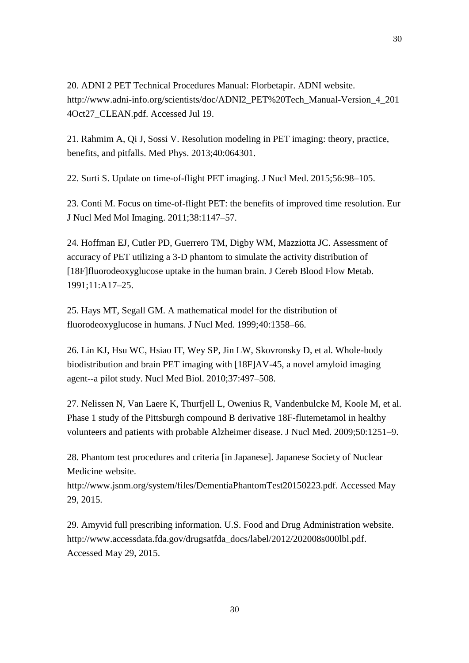20. ADNI 2 PET Technical Procedures Manual: Florbetapir. ADNI website. http://www.adni-info.org/scientists/doc/ADNI2\_PET%20Tech\_Manual-Version\_4\_201 4Oct27\_CLEAN.pdf. Accessed Jul 19.

21. Rahmim A, Qi J, Sossi V. Resolution modeling in PET imaging: theory, practice, benefits, and pitfalls. Med Phys. 2013;40:064301.

22. Surti S. Update on time-of-flight PET imaging. J Nucl Med. 2015;56:98–105.

23. Conti M. Focus on time-of-flight PET: the benefits of improved time resolution. Eur J Nucl Med Mol Imaging. 2011;38:1147–57.

24. Hoffman EJ, Cutler PD, Guerrero TM, Digby WM, Mazziotta JC. Assessment of accuracy of PET utilizing a 3-D phantom to simulate the activity distribution of [18F]fluorodeoxyglucose uptake in the human brain. J Cereb Blood Flow Metab. 1991;11:A17–25.

25. Hays MT, Segall GM. A mathematical model for the distribution of fluorodeoxyglucose in humans. J Nucl Med. 1999;40:1358–66.

26. Lin KJ, Hsu WC, Hsiao IT, Wey SP, Jin LW, Skovronsky D, et al. Whole-body biodistribution and brain PET imaging with [18F]AV-45, a novel amyloid imaging agent--a pilot study. Nucl Med Biol. 2010;37:497–508.

27. Nelissen N, Van Laere K, Thurfjell L, Owenius R, Vandenbulcke M, Koole M, et al. Phase 1 study of the Pittsburgh compound B derivative 18F-flutemetamol in healthy volunteers and patients with probable Alzheimer disease. J Nucl Med. 2009;50:1251–9.

28. Phantom test procedures and criteria [in Japanese]. Japanese Society of Nuclear Medicine website.

http://www.jsnm.org/system/files/DementiaPhantomTest20150223.pdf. Accessed May 29, 2015.

29. Amyvid full prescribing information. U.S. Food and Drug Administration website. http://www.accessdata.fda.gov/drugsatfda\_docs/label/2012/202008s000lbl.pdf. Accessed May 29, 2015.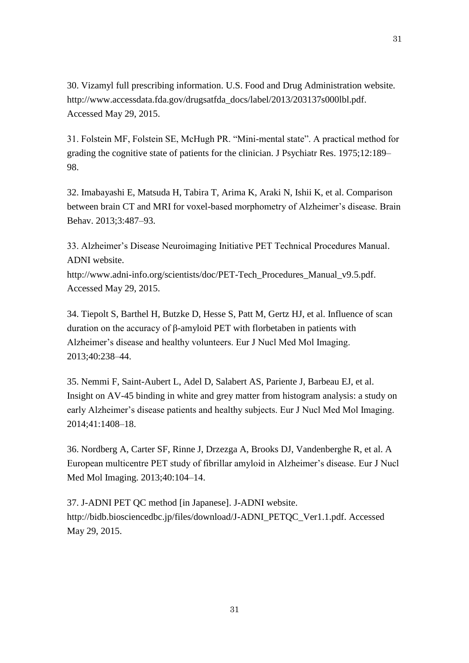30. Vizamyl full prescribing information. U.S. Food and Drug Administration website. http://www.accessdata.fda.gov/drugsatfda\_docs/label/2013/203137s000lbl.pdf. Accessed May 29, 2015.

31. Folstein MF, Folstein SE, McHugh PR. "Mini-mental state". A practical method for grading the cognitive state of patients for the clinician. J Psychiatr Res. 1975;12:189– 98.

32. Imabayashi E, Matsuda H, Tabira T, Arima K, Araki N, Ishii K, et al. Comparison between brain CT and MRI for voxel-based morphometry of Alzheimer's disease. Brain Behav. 2013;3:487–93.

33. Alzheimer's Disease Neuroimaging Initiative PET Technical Procedures Manual. ADNI website.

http://www.adni-info.org/scientists/doc/PET-Tech\_Procedures\_Manual\_v9.5.pdf. Accessed May 29, 2015.

34. Tiepolt S, Barthel H, Butzke D, Hesse S, Patt M, Gertz HJ, et al. Influence of scan duration on the accuracy of β-amyloid PET with florbetaben in patients with Alzheimer's disease and healthy volunteers. Eur J Nucl Med Mol Imaging. 2013;40:238–44.

35. Nemmi F, Saint-Aubert L, Adel D, Salabert AS, Pariente J, Barbeau EJ, et al. Insight on AV-45 binding in white and grey matter from histogram analysis: a study on early Alzheimer's disease patients and healthy subjects. Eur J Nucl Med Mol Imaging. 2014;41:1408–18.

36. Nordberg A, Carter SF, Rinne J, Drzezga A, Brooks DJ, Vandenberghe R, et al. A European multicentre PET study of fibrillar amyloid in Alzheimer's disease. Eur J Nucl Med Mol Imaging. 2013;40:104–14.

37. J-ADNI PET QC method [in Japanese]. J-ADNI website. http://bidb.biosciencedbc.jp/files/download/J-ADNI\_PETQC\_Ver1.1.pdf. Accessed May 29, 2015.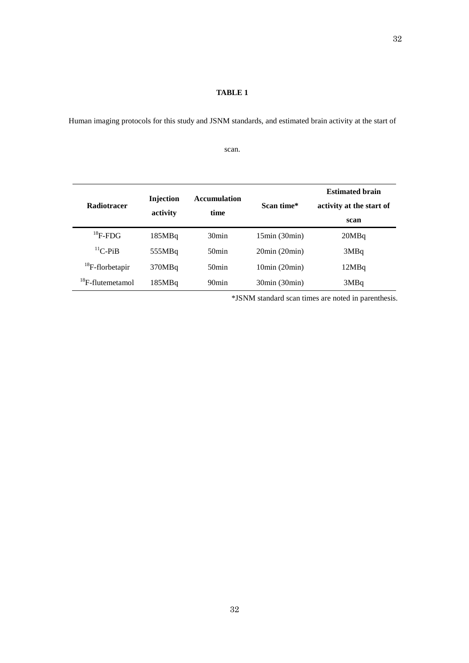## **TABLE 1**

Human imaging protocols for this study and JSNM standards, and estimated brain activity at the start of

scan.

|                              |                  | <b>Accumulation</b> |              | <b>Estimated brain</b>   |
|------------------------------|------------------|---------------------|--------------|--------------------------|
| <b>Radiotracer</b>           | <b>Injection</b> | time                | Scan time*   | activity at the start of |
|                              | activity         |                     |              | scan                     |
| $^{18}$ F-FDG                | 185MBq           | 30 <sub>min</sub>   | 15min(30min) | 20MBq                    |
| ${}^{11}C$ -PiB              | 555MBq           | $50$ min            | 20min(20min) | 3MBq                     |
| ${}^{18}F$ -florbetapir      | 370MBq           | $50$ min            | 10min(20min) | 12MBq                    |
| <sup>18</sup> F-flutemetamol | 185MBq           | 90 <sub>min</sub>   | 30min(30min) | 3MBq                     |

\*JSNM standard scan times are noted in parenthesis.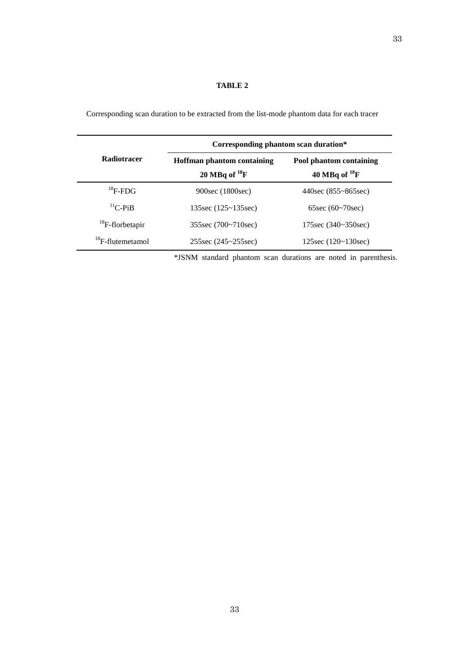# **TABLE 2**

|                              | Corresponding phantom scan duration*                    |                                               |  |  |
|------------------------------|---------------------------------------------------------|-----------------------------------------------|--|--|
| <b>Radiotracer</b>           | <b>Hoffman phantom containing</b><br>20 MBq of $^{18}F$ | Pool phantom containing<br>40 MBq of $^{18}F$ |  |  |
| $^{18}$ F-FDG                | 900sec (1800sec)                                        | $440\sec(855 \text{~}865\sec)$                |  |  |
| ${}^{11}C$ -PiB              | 135sec $(125 - 135$ sec)                                | 65sec $(60~70~sec)$                           |  |  |
| ${}^{18}F$ -florbetapir      | 355sec (700~710sec)                                     | 175sec (340~350sec)                           |  |  |
| <sup>18</sup> F-flutemetamol | $255\sec(245 \sim 255\sec)$                             | $125\sec(120-130\sec)$                        |  |  |

Corresponding scan duration to be extracted from the list-mode phantom data for each tracer

\*JSNM standard phantom scan durations are noted in parenthesis.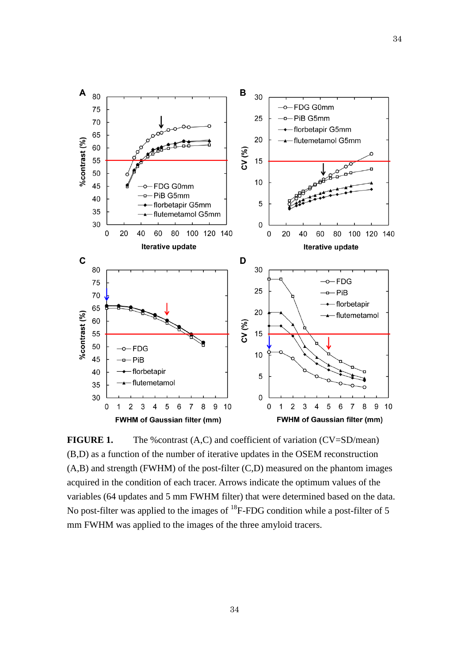

**FIGURE 1.** The %contrast (A,C) and coefficient of variation (CV=SD/mean) (B,D) as a function of the number of iterative updates in the OSEM reconstruction (A,B) and strength (FWHM) of the post-filter (C,D) measured on the phantom images acquired in the condition of each tracer. Arrows indicate the optimum values of the variables (64 updates and 5 mm FWHM filter) that were determined based on the data. No post-filter was applied to the images of <sup>18</sup>F-FDG condition while a post-filter of 5 mm FWHM was applied to the images of the three amyloid tracers.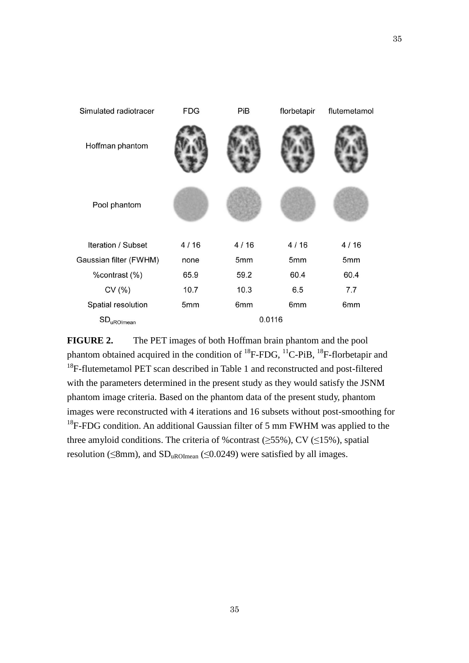

**FIGURE 2.** The PET images of both Hoffman brain phantom and the pool phantom obtained acquired in the condition of  ${}^{18}$ F-FDG,  ${}^{11}$ C-PiB,  ${}^{18}$ F-florbetapir and  $18$ F-flutemetamol PET scan described in Table 1 and reconstructed and post-filtered with the parameters determined in the present study as they would satisfy the JSNM phantom image criteria. Based on the phantom data of the present study, phantom images were reconstructed with 4 iterations and 16 subsets without post-smoothing for  $18$ F-FDG condition. An additional Gaussian filter of 5 mm FWHM was applied to the three amyloid conditions. The criteria of %contrast ( $\geq$ 55%), CV ( $\leq$ 15%), spatial resolution ( $\leq$ 8mm), and SD<sub>uROImean</sub> ( $\leq$ 0.0249) were satisfied by all images.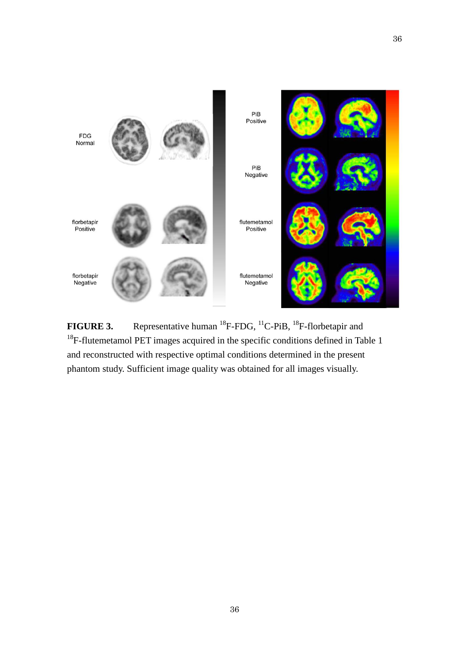

**FIGURE 3.** Representative human <sup>18</sup>F-FDG, <sup>11</sup>C-PiB, <sup>18</sup>F-florbetapir and <sup>18</sup>F-flutemetamol PET images acquired in the specific conditions defined in Table 1 and reconstructed with respective optimal conditions determined in the present phantom study. Sufficient image quality was obtained for all images visually.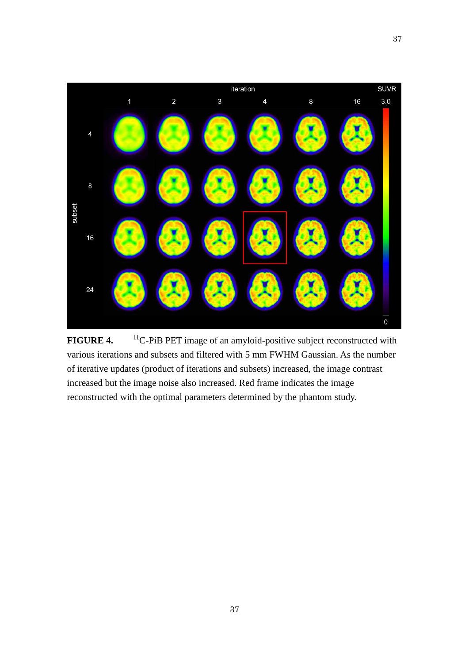

**FIGURE 4.** <sup>11</sup>C-PiB PET image of an amyloid-positive subject reconstructed with various iterations and subsets and filtered with 5 mm FWHM Gaussian. As the number of iterative updates (product of iterations and subsets) increased, the image contrast increased but the image noise also increased. Red frame indicates the image reconstructed with the optimal parameters determined by the phantom study.